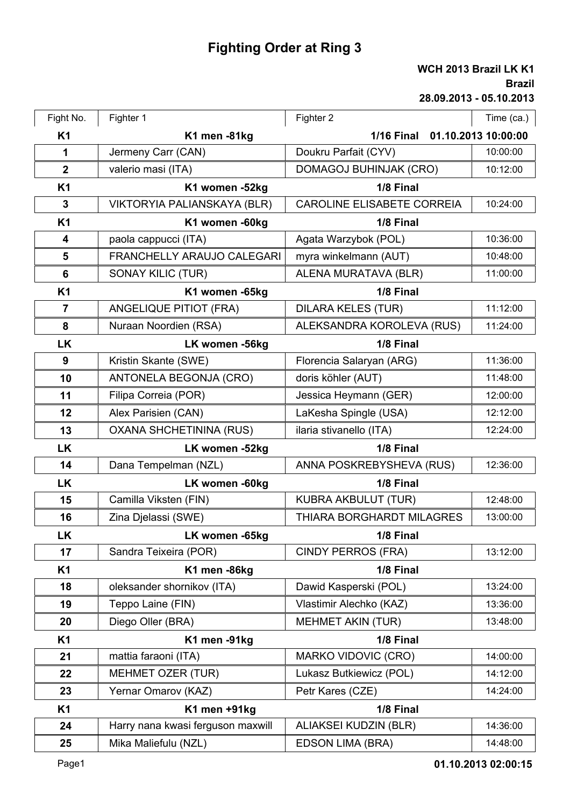## **Fighting Order at Ring 3**

## **28.09.2013 - 05.10.2013 Brazil KK1**

|                |                                |                                   | WCH 2013 Brazil LK K<br><b>Braz</b><br>28.09.2013 - 05.10.201 |
|----------------|--------------------------------|-----------------------------------|---------------------------------------------------------------|
|                |                                |                                   |                                                               |
| Fight No.      | Fighter 1                      | Fighter 2                         | Time (ca.)                                                    |
| <b>K1</b>      | K1 men -81kg                   | <b>1/16 Final</b>                 | 01.10.2013 10:00:00                                           |
| 1              | Jermeny Carr (CAN)             | Doukru Parfait (CYV)              | 10:00:00                                                      |
| $\overline{2}$ | valerio masi (ITA)             | <b>DOMAGOJ BUHINJAK (CRO)</b>     | 10:12:00                                                      |
| <b>K1</b>      | K1 women -52kg                 | 1/8 Final                         |                                                               |
| 3              | VIKTORYIA PALIANSKAYA (BLR)    | <b>CAROLINE ELISABETE CORREIA</b> | 10:24:00                                                      |
| <b>K1</b>      | K1 women -60kg                 | 1/8 Final                         |                                                               |
| 4              | paola cappucci (ITA)           | Agata Warzybok (POL)              | 10:36:00                                                      |
| 5              | FRANCHELLY ARAUJO CALEGARI     | myra winkelmann (AUT)             | 10:48:00                                                      |
| 6              | <b>SONAY KILIC (TUR)</b>       | ALENA MURATAVA (BLR)              | 11:00:00                                                      |
| <b>K1</b>      | K1 women -65kg                 | 1/8 Final                         |                                                               |
| 7              | <b>ANGELIQUE PITIOT (FRA)</b>  | <b>DILARA KELES (TUR)</b>         | 11:12:00                                                      |
| 8              | Nuraan Noordien (RSA)          | ALEKSANDRA KOROLEVA (RUS)         | 11:24:00                                                      |
| <b>LK</b>      | LK women -56kg                 | 1/8 Final                         |                                                               |
| 9              | Kristin Skante (SWE)           | Florencia Salaryan (ARG)          | 11:36:00                                                      |
| 10             | ANTONELA BEGONJA (CRO)         | doris köhler (AUT)                | 11:48:00                                                      |
| 11             | Filipa Correia (POR)           | Jessica Heymann (GER)             | 12:00:00                                                      |
| 12             | Alex Parisien (CAN)            | LaKesha Spingle (USA)             | 12:12:00                                                      |
| 13             | <b>OXANA SHCHETININA (RUS)</b> | ilaria stivanello (ITA)           | 12:24:00                                                      |
| <b>LK</b>      | LK women -52kg                 | 1/8 Final                         |                                                               |
| 14             | Dana Tempelman (NZL)           | ANNA POSKREBYSHEVA (RUS)          | 12:36:00                                                      |
| <b>LK</b>      | LK women -60kg                 | 1/8 Final                         |                                                               |
| 15             | Camilla Viksten (FIN)          | <b>KUBRA AKBULUT (TUR)</b>        | 12:48:00                                                      |
| 16             | Zina Djelassi (SWE)            | THIARA BORGHARDT MILAGRES         | 13:00:00                                                      |
| <b>LK</b>      | LK women -65kg                 | 1/8 Final                         |                                                               |
| 17             | Sandra Teixeira (POR)          | <b>CINDY PERROS (FRA)</b>         | 13:12:00                                                      |

| LK        | LK women -65kg                    | 1/8 Final                    |          |
|-----------|-----------------------------------|------------------------------|----------|
| 17        | Sandra Teixeira (POR)             | <b>CINDY PERROS (FRA)</b>    | 13:12:00 |
| <b>K1</b> | K1 men -86kg                      | 1/8 Final                    |          |
| 18        | oleksander shornikov (ITA)        | Dawid Kasperski (POL)        | 13:24:00 |
| 19        | Teppo Laine (FIN)                 | Vlastimir Alechko (KAZ)      | 13:36:00 |
| 20        | Diego Oller (BRA)                 | <b>MEHMET AKIN (TUR)</b>     | 13:48:00 |
| <b>K1</b> | K1 men -91kg                      | 1/8 Final                    |          |
| 21        | mattia faraoni (ITA)              | <b>MARKO VIDOVIC (CRO)</b>   | 14:00:00 |
| 22        | <b>MEHMET OZER (TUR)</b>          | Lukasz Butkiewicz (POL)      | 14:12:00 |
| 23        | Yernar Omarov (KAZ)               | Petr Kares (CZE)             | 14:24:00 |
| <b>K1</b> | K1 men +91kg                      | 1/8 Final                    |          |
| 24        | Harry nana kwasi ferguson maxwill | <b>ALIAKSEI KUDZIN (BLR)</b> | 14:36:00 |
| 25        | Mika Maliefulu (NZL)              | <b>EDSON LIMA (BRA)</b>      | 14:48:00 |